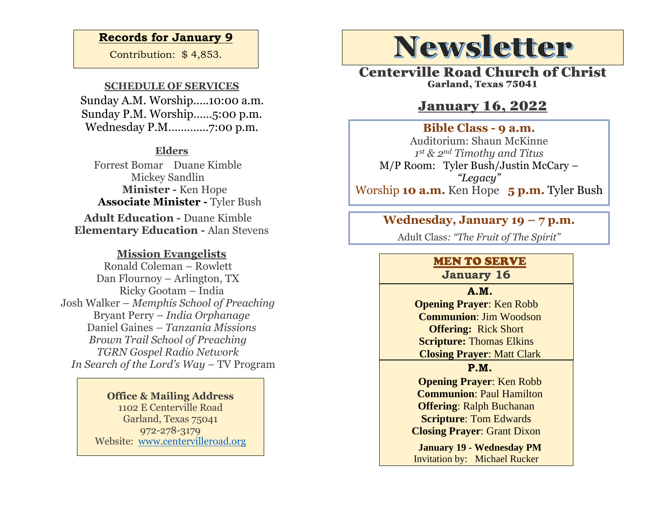### **Records for January 9**

Contribution: \$ 4,853.

#### **SCHEDULE OF SERVICES**

 Sunday A.M. Worship.….10:00 a.m. Sunday P.M. Worship……5:00 p.m. Wednesday P.M.…………7:00 p.m.

### **Elders**

Forrest Bomar Duane Kimble Mickey Sandlin  **Minister -** Ken Hope  **Associate Minister -** Tyler Bush

**Adult Education -** Duane Kimble **Elementary Education -** Alan Stevens

#### **Mission Evangelists**

Ronald Coleman – Rowlett Dan Flournoy – Arlington, TX Ricky Gootam – India Josh Walker – *Memphis School of Preaching* Bryant Perry – *India Orphanage* Daniel Gaines *– Tanzania Missions Brown Trail School of Preaching TGRN Gospel Radio Network In Search of the Lord's Way – TV Program* 

> **Office & Mailing Address** 1102 E Centerville Road Garland, Texas 75041 972-278-3179 Website: [www.centervilleroad.org](https://d.docs.live.net/97e199c461b763eb/Newsletter/News%202020/August%202020/www.centervilleroad.org)

# **Newsletter**

Centerville Road Church of Christ Garland, Texas 75041

## January 16, 2022

#### **Bible Class - 9 a.m.**

Auditorium: Shaun McKinne *1 st & 2nd Timothy and Titus* M/P Room: Tyler Bush/Justin McCary – *"Legacy"* Worship **10 a.m.** Ken Hope **5 p.m.** Tyler Bush 

# **Wednesday, January 19 – 7 p.m.**

Adult Class*: "The Fruit of The Spirit"*

### MEN TO SERVE

**January 16**

**A.M. Opening Prayer**: Ken Robb **Communion**: Jim Woodson **Offering:** Rick Short **Scripture:** Thomas Elkins **Closing Prayer**: Matt Clark

**P.M.**

**Opening Prayer**: Ken Robb **Communion**: Paul Hamilton **Offering**: Ralph Buchanan **Scripture**: Tom Edwards **Closing Prayer**: Grant Dixon

**January 19 - Wednesday PM**  Invitation by:Michael Rucker